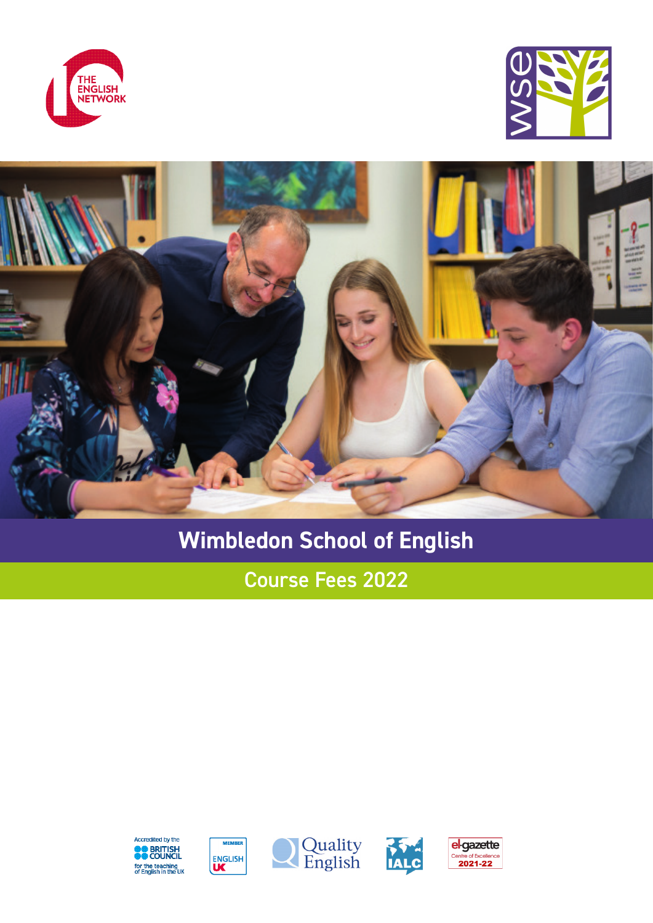





# **Wimbledon School of English**

Course Fees 2022









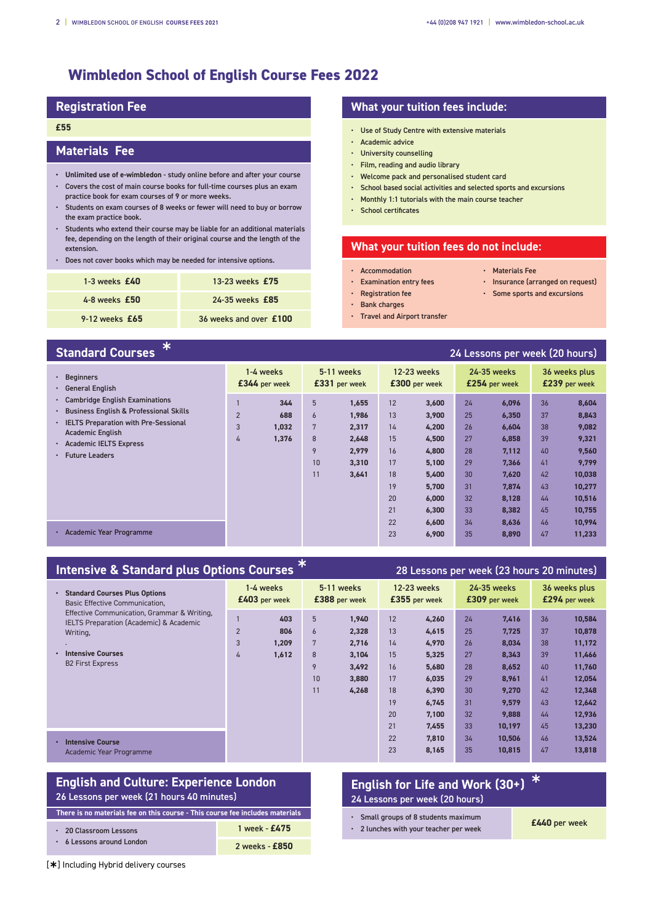# **Wimbledon School of English Course Fees 2022**

# **Registration Fee**

# **£55**

# **Materials Fee**

- **• Unlimited use of e-wimbledon** study online before and after your course • Covers the cost of main course books for full-time courses plus an exam
- practice book for exam courses of 9 or more weeks. • Students on exam courses of 8 weeks or fewer will need to buy or borrow
- the exam practice book. • Students who extend their course may be liable for an additional materials fee, depending on the length of their original course and the length of the extension.
- Does not cover books which may be needed for intensive options.

| 1-3 weeks $£40$    | 13-23 weeks $£75$      |
|--------------------|------------------------|
| $4-8$ weeks $£50$  | 24-35 weeks £85        |
| $9-12$ weeks $£65$ | 36 weeks and over £100 |

# **What your tuition fees include:**

- Use of Study Centre with extensive materials
- Academic advice
- University counselling
- Film, reading and audio library
- Welcome pack and personalised student card
- School based social activities and selected sports and excursions
- Monthly 1:1 tutorials with the main course teacher
- School certificates

## **What your tuition fees do not include:**

- Accommodation
- Materials Fee
- Examination entry fees • Registration fee
- Insurance (arranged on request) • Some sports and excursions
- 
- Bank charges
- Travel and Airport transfer

# **Standard Courses** <sup>Ý</sup> 24 Lessons per week (20 hours)

| $\cdot$ Beginners<br><b>General English</b><br>$\bullet$                                                                                                                                                        |                          | 1-4 weeks<br>£344 per week   |                                            | 5-11 weeks<br>£331 per week                                 |                                                          | <b>12-23 weeks</b><br>£300 per week                                                    |                                                          | 24-35 weeks<br>£254 per week                                                           |                                                          | 36 weeks plus<br>£239 per week                                                             |
|-----------------------------------------------------------------------------------------------------------------------------------------------------------------------------------------------------------------|--------------------------|------------------------------|--------------------------------------------|-------------------------------------------------------------|----------------------------------------------------------|----------------------------------------------------------------------------------------|----------------------------------------------------------|----------------------------------------------------------------------------------------|----------------------------------------------------------|--------------------------------------------------------------------------------------------|
| • Cambridge English Examinations<br><b>Business English &amp; Professional Skills</b><br>٠<br>• IELTS Preparation with Pre-Sessional<br><b>Academic English</b><br>· Academic IELTS Express<br>• Future Leaders | $\overline{2}$<br>3<br>4 | 344<br>688<br>1,032<br>1,376 | 5<br>$\epsilon$<br>7<br>8<br>9<br>10<br>11 | 1,655<br>1,986<br>2,317<br>2,648<br>2,979<br>3,310<br>3,641 | 12<br>13<br>14<br>15<br>16<br>17<br>18<br>19<br>20<br>21 | 3.600<br>3,900<br>4,200<br>4,500<br>4,800<br>5,100<br>5,400<br>5,700<br>6.000<br>6,300 | 24<br>25<br>26<br>27<br>28<br>29<br>30<br>31<br>32<br>33 | 6,096<br>6,350<br>6.604<br>6,858<br>7,112<br>7.366<br>7.620<br>7.874<br>8,128<br>8.382 | 36<br>37<br>38<br>39<br>40<br>41<br>42<br>43<br>44<br>45 | 8,604<br>8,843<br>9,082<br>9,321<br>9,560<br>9,799<br>10,038<br>10,277<br>10,516<br>10,755 |
| · Academic Year Programme                                                                                                                                                                                       |                          |                              |                                            |                                                             | 22<br>23                                                 | 6,600<br>6,900                                                                         | 34<br>35                                                 | 8.636<br>8,890                                                                         | 46<br>47                                                 | 10,994<br>11,233                                                                           |

| <b>Intensive &amp; Standard plus Options Courses</b>                                                                                                                 |                                                          |                                                                                                  | 28 Lessons per week (23 hours 20 minutes)                                                                                                          |                                                                                                                                                                  |                                                                                                                                                              |  |
|----------------------------------------------------------------------------------------------------------------------------------------------------------------------|----------------------------------------------------------|--------------------------------------------------------------------------------------------------|----------------------------------------------------------------------------------------------------------------------------------------------------|------------------------------------------------------------------------------------------------------------------------------------------------------------------|--------------------------------------------------------------------------------------------------------------------------------------------------------------|--|
| • Standard Courses Plus Options<br>Basic Effective Communication.                                                                                                    | 1-4 weeks<br>£403 per week                               | 5-11 weeks<br>£388 per week                                                                      | 12-23 weeks<br>£355 per week                                                                                                                       | 24-35 weeks<br>£309 per week                                                                                                                                     | 36 weeks plus<br>£294 per week                                                                                                                               |  |
| Effective Communication, Grammar & Writing,<br><b>IELTS Preparation (Academic) &amp; Academic</b><br>Writing,<br><b>Intensive Courses</b><br><b>B2 First Express</b> | 403<br>$\overline{2}$<br>806<br>3<br>1.209<br>1,612<br>4 | 5<br>1,940<br>6<br>2.328<br>7<br>2,716<br>8<br>3,104<br>9<br>3,492<br>10<br>3,880<br>11<br>4,268 | 12<br>4,260<br>13<br>4.615<br>14<br>4,970<br>15<br>5,325<br>16<br>5,680<br>17<br>6,035<br>18<br>6,390<br>19<br>6.745<br>20<br>7,100<br>21<br>7.455 | 24<br>7.416<br>25<br>7.725<br>26<br>8.034<br>27<br>8,343<br>28<br>8,652<br>29<br>8,961<br>30 <sup>2</sup><br>9,270<br>31<br>9,579<br>32<br>9,888<br>33<br>10.197 | 36<br>10,584<br>37<br>10,878<br>38<br>11,172<br>39<br>11,466<br>11,760<br>40<br>12,054<br>41<br>42<br>12,348<br>43<br>12,642<br>12,936<br>44<br>45<br>13,230 |  |
| <b>Intensive Course</b><br>Academic Year Programme                                                                                                                   |                                                          |                                                                                                  | 22<br>7.810<br>23<br>8,165                                                                                                                         | 34<br>10.506<br>35<br>10.815                                                                                                                                     | 13,524<br>46<br>47<br>13,818                                                                                                                                 |  |

# **English and Culture: Experience London**  26 Lessons per week (21 hours 40 minutes)

**There is no materials fee on this course - This course fee includes materials**

| 20 Classroom Lessons    | 1 week - £475  |
|-------------------------|----------------|
| 6 Lessons around London | 2 weeks - £850 |

# **English for Life and Work (30+)** <sup>Ý</sup> 24 Lessons per week (20 hours)

- Small groups of 8 students maximum<br> **E440** per week
- 2 lunches with your teacher per week

[Ý] Including Hybrid delivery courses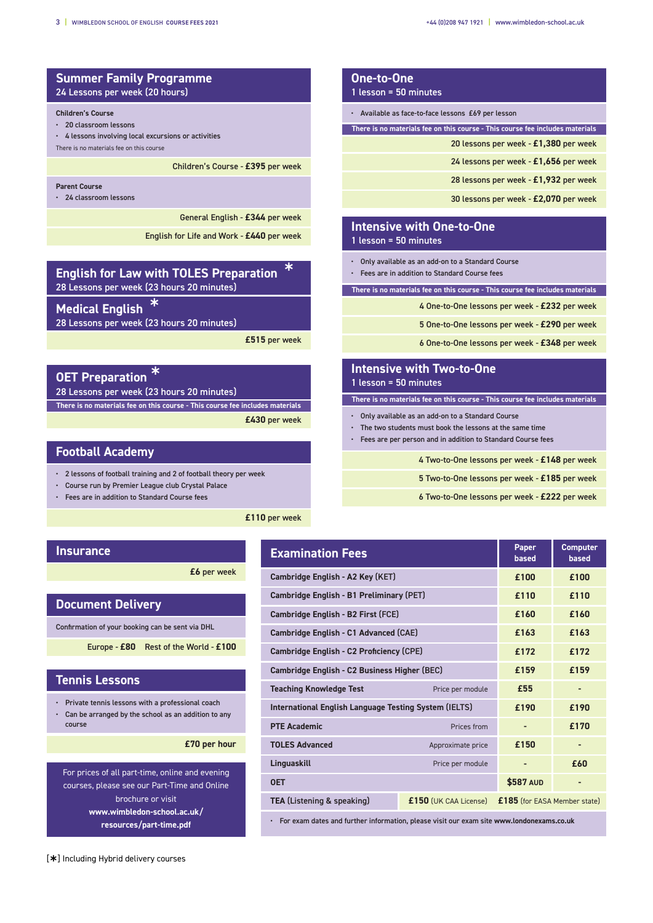# **Summer Family Programme** 24 Lessons per week (20 hours)

#### **Children's Course**

• 20 classroom lessons

- 4 lessons involving local excursions or activities
- There is no materials fee on this course

Children's Course - **£395** per week

#### **Parent Course**

• 24 classroom lessons

General English - **£344** per week

English for Life and Work - **£440** per week

| <b>English for Law with TOLES Preparation</b> | $\ast$ |
|-----------------------------------------------|--------|
| 28 Lessons per week (23 hours 20 minutes)     |        |

**Medical English** 

28 Lessons per week (23 hours 20 minutes)

**£515** per week

| <b>OET Preparation</b>                                                        |
|-------------------------------------------------------------------------------|
| 28 Lessons per week (23 hours 20 minutes)                                     |
| There is no materials fee on this course - This course fee includes materials |
| £430 per week                                                                 |

# **Football Academy**

- 2 lessons of football training and 2 of football theory per week
- Course run by Premier League club Crystal Palace
- Fees are in addition to Standard Course fees

**£110** per week

## **Insurance**

**£6** per week

## **Document Delivery**

Confirmation of your booking can be sent via DHL

Europe - **£80** Rest of the World - **£100**

### **Tennis Lessons**

- Private tennis lessons with a professional coach
- Can be arranged by the school as an addition to any course

**£70 per hour**

For prices of all part-time, online and evening courses, please see our Part-Time and Online brochure or visit **www.wimbledon-school.ac.uk/ resources/part-time.pdf**

| One-to-One<br>1 lesson = 50 minutes                                           |
|-------------------------------------------------------------------------------|
| • Available as face-to-face lessons £69 per lesson                            |
| There is no materials fee on this course - This course fee includes materials |
| 20 lessons per week - £1,380 per week                                         |
| 24 lessons per week - £1,656 per week                                         |
| 28 lessons per week - £1,932 per week                                         |
| 30 lessons per week - £2,070 per week                                         |
|                                                                               |

# **Intensive with One-to-One**

1 lesson = 50 minutes

- Only available as an add-on to a Standard Course
- Fees are in addition to Standard Course fees

**There is no materials fee on this course - This course fee includes materials**

4 One-to-One lessons per week - **£232** per week

5 One-to-One lessons per week - **£290** per week

6 One-to-One lessons per week - **£348** per week

## **Intensive with Two-to-One** 1 lesson = 50 minutes

**There is no materials fee on this course - This course fee includes materials**

- Only available as an add-on to a Standard Course
- The two students must book the lessons at the same time
- Fees are per person and in addition to Standard Course fees

4 Two-to-One lessons per week - **£148** per week

- 5 Two-to-One lessons per week **£185** per week
- 6 Two-to-One lessons per week **£222** per week

| <b>Examination Fees</b>                               | Paper<br>based          | <b>Computer</b><br>based     |      |
|-------------------------------------------------------|-------------------------|------------------------------|------|
| Cambridge English - A2 Key (KET)                      | £100                    | £100                         |      |
| Cambridge English - B1 Preliminary (PET)              |                         | f110                         | f110 |
| Cambridge English - B2 First (FCE)                    |                         | £160                         | £160 |
| Cambridge English - C1 Advanced (CAE)                 |                         | £163                         | £163 |
| Cambridge English - C2 Proficiency (CPE)              | £172                    | £172                         |      |
| Cambridge English - C2 Business Higher (BEC)          | £159                    | £159                         |      |
| <b>Teaching Knowledge Test</b><br>Price per module    |                         | £55                          |      |
| International English Language Testing System (IELTS) |                         | £190                         | £190 |
| <b>PTE Academic</b>                                   | Prices from             |                              | £170 |
| <b>TOLES Advanced</b>                                 | Approximate price       | £150                         |      |
| Linguaskill                                           | Price per module        |                              | £60  |
| <b>OET</b>                                            |                         | \$587 AUD                    |      |
| <b>TEA (Listening &amp; speaking)</b>                 | $£150$ (UK CAA License) | £185 (for EASA Member state) |      |

• For exam dates and further information, please visit our exam site **www.londonexams.co.uk**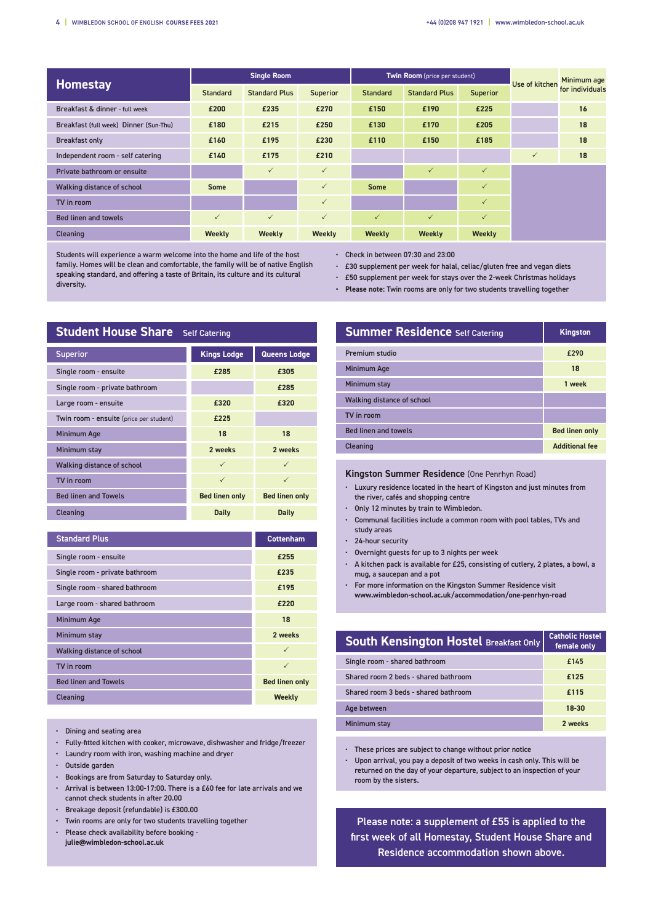|                                        | <b>Single Room</b> |                      |              | Twin Room (price per student) |                      |              | <b>Use of kitchen</b> | Minimum age     |
|----------------------------------------|--------------------|----------------------|--------------|-------------------------------|----------------------|--------------|-----------------------|-----------------|
| <b>Homestay</b>                        | Standard           | <b>Standard Plus</b> | Superior     | <b>Standard</b>               | <b>Standard Plus</b> | Superior     |                       | for individuals |
| Breakfast & dinner - full week         | £200               | £235                 | £270         | £150                          | £190                 | £225         |                       | 16              |
| Breakfast (full week) Dinner (Sun-Thu) | £180               | £215                 | £250         | £130                          | £170                 | £205         |                       | 18              |
| <b>Breakfast only</b>                  | £160               | £195                 | £230         | £110                          | £150                 | £185         |                       | 18              |
| Independent room - self catering       | £140               | £175                 | £210         |                               |                      |              | $\checkmark$          | 18              |
| Private bathroom or ensuite            |                    | $\checkmark$         | $\checkmark$ |                               | $\checkmark$         | $\checkmark$ |                       |                 |
| Walking distance of school             | <b>Some</b>        |                      | $\checkmark$ | <b>Some</b>                   |                      | $\checkmark$ |                       |                 |
| TV in room                             |                    |                      | $\checkmark$ |                               |                      | $\checkmark$ |                       |                 |
| <b>Bed linen and towels</b>            | $\checkmark$       | $\checkmark$         | $\checkmark$ | $\checkmark$                  | $\checkmark$         | $\checkmark$ |                       |                 |
| Cleaning                               | Weekly             | Weekly               | Weekly       | Weekly                        | <b>Weekly</b>        | Weekly       |                       |                 |

Students will experience a warm welcome into the home and life of the host family. Homes will be clean and comfortable, the family will be of native English speaking standard, and offering a taste of Britain, its culture and its cultural diversity.

• Check in between 07:30 and 23:00

- £30 supplement per week for halal, celiac/gluten free and vegan diets
- £50 supplement per week for stays over the 2-week Christmas holidays
- **• Please note:** Twin rooms are only for two students travelling together

| <b>Student House Share</b> Self Catering |                       |                       |  |  |  |
|------------------------------------------|-----------------------|-----------------------|--|--|--|
| <b>Superior</b>                          | <b>Kings Lodge</b>    | Queens Lodge          |  |  |  |
| Single room - ensuite                    | £285                  | £305                  |  |  |  |
| Single room - private bathroom           |                       | £285                  |  |  |  |
| Large room - ensuite                     | £320                  | £320                  |  |  |  |
| Twin room - ensuite (price per student)  | £225                  |                       |  |  |  |
| Minimum Age                              | 18                    | 18                    |  |  |  |
| Minimum stay                             | 2 weeks               | 2 weeks               |  |  |  |
| <b>Walking distance of school</b>        | $\checkmark$          | $\checkmark$          |  |  |  |
| TV in room                               | $\checkmark$          | $\checkmark$          |  |  |  |
| <b>Bed linen and Towels</b>              | <b>Bed linen only</b> | <b>Bed linen only</b> |  |  |  |
| Cleaning                                 | Daily                 | Daily                 |  |  |  |

| <b>Standard Plus</b>           | <b>Cottenham</b>      |
|--------------------------------|-----------------------|
| Single room - ensuite          | £255                  |
| Single room - private bathroom | £235                  |
| Single room - shared bathroom  | £195                  |
| Large room - shared bathroom   | £220                  |
| <b>Minimum Age</b>             | 18                    |
| Minimum stay                   | 2 weeks               |
| Walking distance of school     | $\checkmark$          |
| TV in room                     | $\checkmark$          |
| <b>Bed linen and Towels</b>    | <b>Bed linen only</b> |
| Cleaning                       | Weekly                |

- Dining and seating area
- Fully-fitted kitchen with cooker, microwave, dishwasher and fridge/freezer
- Laundry room with iron, washing machine and dryer
- Outside garden
- Bookings are from Saturday to Saturday only.
- Arrival is between 13:00-17:00. There is a £60 fee for late arrivals and we cannot check students in after 20.00
- Breakage deposit (refundable) is £300.00
- Twin rooms are only for two students travelling together
- Please check availability before booking **julie@wimbledon-school.ac.uk**

| <b>Summer Residence Self Catering</b> | <b>Kingston</b>       |
|---------------------------------------|-----------------------|
| <b>Premium studio</b>                 | £290                  |
| <b>Minimum Age</b>                    | 18                    |
| Minimum stay                          | 1 week                |
| Walking distance of school            |                       |
| TV in room                            |                       |
| <b>Bed linen and towels</b>           | <b>Bed linen only</b> |
| Cleaning                              | <b>Additional fee</b> |

#### **Kingston Summer Residence** (One Penrhyn Road)

- Luxury residence located in the heart of Kingston and just minutes from the river, cafés and shopping centre
- Only 12 minutes by train to Wimbledon.
- Communal facilities include a common room with pool tables, TVs and study areas
- 24-hour security
- Overnight guests for up to 3 nights per week
- A kitchen pack is available for £25, consisting of cutlery, 2 plates, a bowl, a mug, a saucepan and a pot
- For more information on the Kingston Summer Residence visit **www.wimbledon-school.ac.uk/accommodation/one-penrhyn-road**

| <b>South Kensington Hostel Breakfast Only</b> | <b>Catholic Hostel</b><br>female only |
|-----------------------------------------------|---------------------------------------|
| Single room - shared bathroom                 | £145                                  |
| Shared room 2 beds - shared bathroom          | £125                                  |
| Shared room 3 beds - shared bathroom          | £115                                  |
| Age between                                   | 18-30                                 |
| Minimum stay                                  | 2 weeks                               |

• These prices are subject to change without prior notice

• Upon arrival, you pay a deposit of two weeks in cash only. This will be returned on the day of your departure, subject to an inspection of your room by the sisters.

Please note: a supplement of £55 is applied to the first week of all Homestay, Student House Share and Residence accommodation shown above.